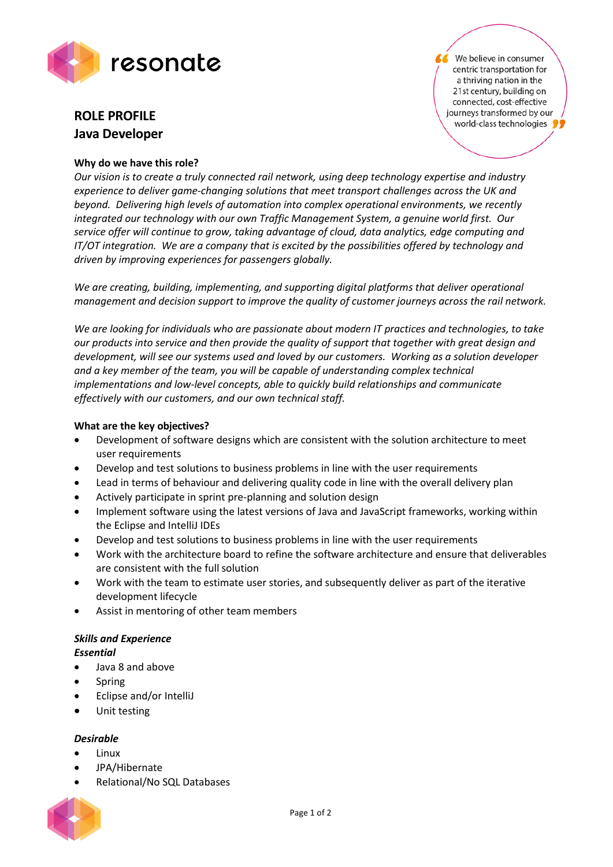

# **ROLE PROFILE Java Developer**

## **Why do we have this role?**

We believe in consumer centric transportation for a thriving nation in the 21st century, building on connected, cost-effective journeys transformed by our world-class technologies

*Our vision is to create a truly connected rail network, using deep technology expertise and industry experience to deliver game-changing solutions that meet transport challenges across the UK and beyond. Delivering high levels of automation into complex operational environments, we recently integrated our technology with our own Traffic Management System, a genuine world first. Our service offer will continue to grow, taking advantage of cloud, data analytics, edge computing and IT/OT integration. We are a company that is excited by the possibilities offered by technology and driven by improving experiences for passengers globally.*

*We are creating, building, implementing, and supporting digital platforms that deliver operational management and decision support to improve the quality of customer journeys across the rail network.* 

*We are looking for individuals who are passionate about modern IT practices and technologies, to take our products into service and then provide the quality of support that together with great design and development, will see our systems used and loved by our customers. Working as a solution developer and a key member of the team, you will be capable of understanding complex technical implementations and low-level concepts, able to quickly build relationships and communicate effectively with our customers, and our own technical staff.* 

## **What are the key objectives?**

- Development of software designs which are consistent with the solution architecture to meet user requirements
- Develop and test solutions to business problems in line with the user requirements
- Lead in terms of behaviour and delivering quality code in line with the overall delivery plan
- Actively participate in sprint pre-planning and solution design
- Implement software using the latest versions of Java and JavaScript frameworks, working within the Eclipse and IntelliJ IDEs
- Develop and test solutions to business problems in line with the user requirements
- Work with the architecture board to refine the software architecture and ensure that deliverables are consistent with the full solution
- Work with the team to estimate user stories, and subsequently deliver as part of the iterative development lifecycle
- Assist in mentoring of other team members

# *Skills and Experience*

### *Essential*

- Java 8 and above
- **Spring**
- Eclipse and/or IntelliJ
- Unit testing

### *Desirable*

- Linux
- JPA/Hibernate
- Relational/No SQL Databases